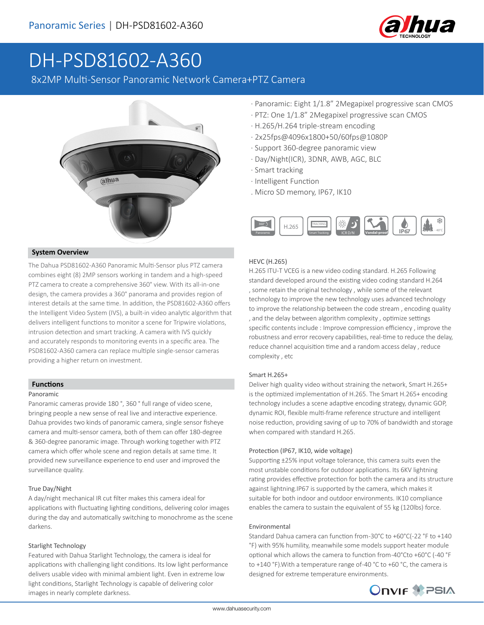

# DH-PSD81602-A360

8x2MP Multi-Sensor Panoramic Network Camera+PTZ Camera



#### **System Overview**

The Dahua PSD81602-A360 Panoramic Multi-Sensor plus PTZ camera combines eight (8) 2MP sensors working in tandem and a high-speed PTZ camera to create a comprehensive 360° view. With its all-in-one design, the camera provides a 360° panorama and provides region of interest details at the same time. In addition, the PSD81602-A360 offers the Intelligent Video System (IVS), a built-in video analytic algorithm that delivers intelligent functions to monitor a scene for Tripwire violations, intrusion detection and smart tracking. A camera with IVS quickly and accurately responds to monitoring events in a specific area. The PSD81602-A360 camera can replace multiple single-sensor cameras providing a higher return on investment.

#### **Functions**

#### Panoramic

Panoramic cameras provide 180 °, 360 ° full range of video scene, bringing people a new sense of real live and interactive experience. Dahua provides two kinds of panoramic camera, single sensor fisheye camera and multi-sensor camera, both of them can offer 180-degree & 360-degree panoramic image. Through working together with PTZ camera which offer whole scene and region details at same time. It provided new surveillance experience to end user and improved the surveillance quality.

#### True Day/Night

A day/night mechanical IR cut filter makes this camera ideal for applications with fluctuating lighting conditions, delivering color images during the day and automatically switching to monochrome as the scene darkens.

#### Starlight Technology

Featured with Dahua Starlight Technology, the camera is ideal for applications with challenging light conditions. Its low light performance delivers usable video with minimal ambient light. Even in extreme low light conditions, Starlight Technology is capable of delivering color images in nearly complete darkness.

- · Panoramic: Eight 1/1.8" 2Megapixel progressive scan CMOS
- · PTZ: One 1/1.8" 2Megapixel progressive scan CMOS
- · H.265/H.264 triple-stream encoding
- · 2x25fps@4096x1800+50/60fps@1080P
- · Support 360-degree panoramic view
- · Day/Night(ICR), 3DNR, AWB, AGC, BLC
- · Smart tracking
- · Intelligent Function
- . Micro SD memory, IP67, IK10



#### HEVC (H.265)

H.265 ITU-T VCEG is a new video coding standard. H.265 Following standard developed around the existing video coding standard H.264 , some retain the original technology , while some of the relevant technology to improve the new technology uses advanced technology to improve the relationship between the code stream , encoding quality , and the delay between algorithm complexity , optimize settings specific contents include : Improve compression efficiency , improve the robustness and error recovery capabilities, real-time to reduce the delay, reduce channel acquisition time and a random access delay , reduce complexity , etc

#### Smart H.265+

Deliver high quality video without straining the network, Smart H.265+ is the optimized implementation of H.265. The Smart H.265+ encoding technology includes a scene adaptive encoding strategy, dynamic GOP, dynamic ROI, flexible multi-frame reference structure and intelligent noise reduction, providing saving of up to 70% of bandwidth and storage when compared with standard H.265.

#### Protection (IP67, IK10, wide voltage)

Supporting ±25% input voltage tolerance, this camera suits even the most unstable conditions for outdoor applications. Its 6KV lightning rating provides effective protection for both the camera and its structure against lightning.IP67 is supported by the camera, which makes it suitable for both indoor and outdoor environments. IK10 compliance enables the camera to sustain the equivalent of 55 kg (120lbs) force.

#### Environmental

Standard Dahua camera can function from -30°C to +60°C(-22 °F to +140 °F) with 95% humility, meanwhile some models support heater module optional which allows the camera to function from -40°Cto +60°C (-40 °F to +140 °F).With a temperature range of -40 °C to +60 °C, the camera is designed for extreme temperature environments.

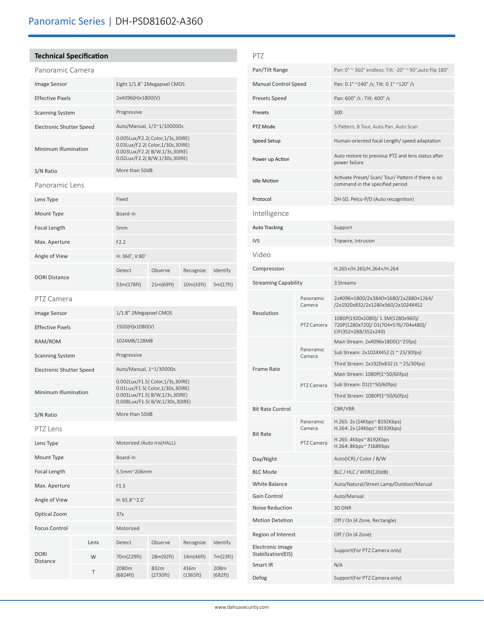### **Technical Specification**

| Panoramic Camera                |      |                                                                                                                                         |                   |                  |                 |  |
|---------------------------------|------|-----------------------------------------------------------------------------------------------------------------------------------------|-------------------|------------------|-----------------|--|
| <b>Image Sensor</b>             |      | Eight 1/1.8" 2Megapixel CMOS                                                                                                            |                   |                  |                 |  |
| <b>Effective Pixels</b>         |      | 2x4096(H)x1800(V)                                                                                                                       |                   |                  |                 |  |
| <b>Scanning System</b>          |      | Progressive                                                                                                                             |                   |                  |                 |  |
| <b>Electronic Shutter Speed</b> |      | Auto/Manual, 1/3~1/100000s                                                                                                              |                   |                  |                 |  |
| Minimum Illumination            |      | 0.005Lux/F2.2( Color,1/3s,30IRE)<br>0.03Lux/F2.2( Color,1/30s,30IRE)<br>0.003Lux/F2.2(B/W,1/3s,30IRE)<br>0.02Lux/F2.2(B/W,1/30s,30IRE)  |                   |                  |                 |  |
| S/N Ratio                       |      | More than 50dB                                                                                                                          |                   |                  |                 |  |
| Panoramic Lens                  |      |                                                                                                                                         |                   |                  |                 |  |
| Lens Type                       |      | Fixed                                                                                                                                   |                   |                  |                 |  |
| Mount Type                      |      | Board-in                                                                                                                                |                   |                  |                 |  |
| Focal Length                    |      | 5 <sub>mm</sub>                                                                                                                         |                   |                  |                 |  |
| Max. Aperture                   |      | F2.2                                                                                                                                    |                   |                  |                 |  |
| Angle of View                   |      | H: 360°, V:80°                                                                                                                          |                   |                  |                 |  |
|                                 |      | Detect                                                                                                                                  | Observe           | Recognize        | Identify        |  |
| <b>DORI Distance</b>            |      | 53m(178ft)                                                                                                                              | 21m(69ft)         | 10m(33ft)        | 5m(17ft)        |  |
| PTZ Camera                      |      |                                                                                                                                         |                   |                  |                 |  |
| Image Sensor                    |      | 1/1.8" 2Megapixel CMOS                                                                                                                  |                   |                  |                 |  |
| <b>Effective Pixels</b>         |      | 1920(H)x1080(V)                                                                                                                         |                   |                  |                 |  |
| RAM/ROM                         |      | 1024MB/128MB                                                                                                                            |                   |                  |                 |  |
| <b>Scanning System</b>          |      | Progressive                                                                                                                             |                   |                  |                 |  |
| <b>Electronic Shutter Speed</b> |      | Auto/Manual, 1~1/30000s                                                                                                                 |                   |                  |                 |  |
| Minimum Illumination            |      | 0.002Lux/F1.5( Color,1/3s,30IRE)<br>0.01Lux/F1.5( Color,1/30s,30IRE)<br>0.001Lux/F1.5(B/W,1/3s,30IRE)<br>0.008Lux/F1.5(B/W,1/30s,30IRE) |                   |                  |                 |  |
| S/N Ratio                       |      | More than 50dB                                                                                                                          |                   |                  |                 |  |
| PTZ Lens                        |      |                                                                                                                                         |                   |                  |                 |  |
| Lens Type                       |      | Motorized /Auto Iris(HALL)                                                                                                              |                   |                  |                 |  |
| Mount Type                      |      | Board-in                                                                                                                                |                   |                  |                 |  |
| Focal Length                    |      | 5.5mm~206mm                                                                                                                             |                   |                  |                 |  |
| Max. Aperture                   |      | F1.5                                                                                                                                    |                   |                  |                 |  |
| Angle of View                   |      | $H: 65.8^{\circ}$ ~ 2.0°                                                                                                                |                   |                  |                 |  |
| Optical Zoom                    |      | 37x                                                                                                                                     |                   |                  |                 |  |
| <b>Focus Control</b>            |      | Motorized                                                                                                                               |                   |                  |                 |  |
| <b>DORI</b><br>Distance         | Lens | Detect                                                                                                                                  | Observe           | Recognize        | Identify        |  |
|                                 | W    | 70m(229ft)                                                                                                                              | 28m(92ft)         | 14m(46ft)        | 7m(23ft)        |  |
|                                 | Τ    | 2080m<br>(6824 ft)                                                                                                                      | 832m<br>(2730 ft) | 416m<br>(1365ft) | 208m<br>(682ft) |  |

| PT7                                    |                     |                                                                                                  |  |  |
|----------------------------------------|---------------------|--------------------------------------------------------------------------------------------------|--|--|
| Pan/Tilt Range                         |                     | Pan: 0° ~ 360° endless; Tilt: -20° ~ 90°, auto flip 180°                                         |  |  |
| <b>Manual Control Speed</b>            |                     | Pan: 0.1° ~240° /s; Tilt: 0.1° ~120° /s                                                          |  |  |
| <b>Presets Speed</b>                   |                     | Pan: 600° /s; Tilt: 400° /s                                                                      |  |  |
| Presets                                |                     | 300                                                                                              |  |  |
| PTZ Mode                               |                     | 5 Pattern, 8 Tour, Auto Pan , Auto Scan                                                          |  |  |
| Speed Setup                            |                     | Human-oriented focal Length/ speed adaptation                                                    |  |  |
|                                        |                     | Auto restore to previous PTZ and lens status after                                               |  |  |
| Power up Action                        |                     | power failure                                                                                    |  |  |
| <b>Idle Motion</b>                     |                     | Activate Preset/ Scan/ Tour/ Pattern if there is no<br>command in the specified period           |  |  |
| Protocol                               |                     | DH-SD, Pelco-P/D (Auto recognition)                                                              |  |  |
| Intelligence                           |                     |                                                                                                  |  |  |
| <b>Auto Tracking</b>                   |                     | Support                                                                                          |  |  |
| <b>IVS</b>                             |                     | Tripwire, Intrusion                                                                              |  |  |
| Video                                  |                     |                                                                                                  |  |  |
| Compression                            |                     | H.265+/H.265/H.264+/H.264                                                                        |  |  |
| <b>Streaming Capability</b>            |                     | 3 Streams                                                                                        |  |  |
|                                        | Panoramic<br>Camera | 2x4096×1800/2x3840×1680/2x2880×1264/<br>/2x1920x832/2x1280x560/2x1024X452                        |  |  |
| Resolution                             | PTZ Camera          | 1080P(1920x1080)/ 1.3M(1280x960)/<br>720P(1280x720)/D1(704×576/704x480)/<br>CIF(352×288/352x240) |  |  |
|                                        |                     | Main Stream: 2x4096x1800(1~25fps)                                                                |  |  |
|                                        | Panoramic<br>Camera | Sub Stream: 2x1024X452 (1 ~ 25/30fps)                                                            |  |  |
| <b>Frame Rate</b>                      |                     | Third Stream: 2x1920x832 (1 ~ 25/30fps)<br>Main Stream: 1080P(1~50/60fps)                        |  |  |
|                                        | PTZ Camera          | Sub Stream: D1(1~50/60fps)                                                                       |  |  |
|                                        |                     | Third Stream: 1080P(1~50/60fps)                                                                  |  |  |
| <b>Bit Rate Control</b>                |                     | CBR/VBR                                                                                          |  |  |
| <b>Bit Rate</b>                        | Panoramic<br>Camera | H.265: 2x (14Kbps~ 8192Kbps)<br>H.264: 2x (24Kbps~ 8192Kbps)                                     |  |  |
|                                        | PTZ Camera          | H.265:4Kbps <sup>o</sup> 8192Kbps<br>H.264: 8Kbps~ 7168Kbps                                      |  |  |
| Day/Night                              |                     | Auto(ICR) / Color / B/W                                                                          |  |  |
| <b>BLC Mode</b>                        |                     | BLC / HLC / WDR(120dB)                                                                           |  |  |
| White Balance                          |                     | Auto/Natural/Street Lamp/Outdoor/Manual                                                          |  |  |
| Gain Control                           |                     | Auto/Manual                                                                                      |  |  |
| Noise Reduction                        |                     | 3D DNR                                                                                           |  |  |
| <b>Motion Detetion</b>                 |                     | Off / On (4 Zone, Rectangle)                                                                     |  |  |
| Region of Interest                     |                     | Off / On (4 Zone)                                                                                |  |  |
| Electronic Image<br>Stabilization(EIS) |                     | Support(For PTZ Camera only)                                                                     |  |  |
| Smart IR                               |                     | N/A                                                                                              |  |  |
| Defog                                  |                     | Support(For PTZ Camera only)                                                                     |  |  |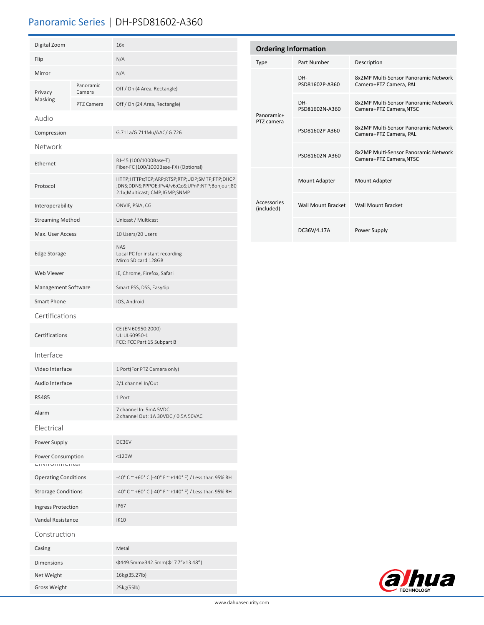# Panoramic Series | DH-PSD81602-A360

| Digital Zoom                                   |                     | 16x                                                                                                                               | Ordering                  |  |
|------------------------------------------------|---------------------|-----------------------------------------------------------------------------------------------------------------------------------|---------------------------|--|
| Flip                                           |                     | N/A                                                                                                                               | Type                      |  |
| Mirror                                         |                     | N/A                                                                                                                               |                           |  |
| Privacy<br><b>Masking</b>                      | Panoramic<br>Camera | Off / On (4 Area, Rectangle)                                                                                                      |                           |  |
|                                                | PTZ Camera          | Off / On (24 Area, Rectangle)                                                                                                     |                           |  |
| Audio                                          |                     |                                                                                                                                   | Panoramic-<br>PTZ camera  |  |
| Compression                                    |                     | G.711a/G.711Mu/AAC/ G.726                                                                                                         |                           |  |
| Network                                        |                     |                                                                                                                                   |                           |  |
| Ethernet                                       |                     | RJ-45 (100/1000Base-T)<br>Fiber-FC (100/1000Base-FX) (Optional)                                                                   |                           |  |
| Protocol                                       |                     | HTTP;HTTPs;TCP;ARP;RTSP;RTP;UDP;SMTP;FTP;DHCP<br>;DNS;DDNS;PPPOE;IPv4/v6;QoS;UPnP;NTP;Bonjour;80<br>2.1x;Multicast;ICMP;IGMP;SNMP |                           |  |
| Interoperability                               |                     | ONVIF, PSIA, CGI                                                                                                                  | Accessories<br>(included) |  |
| <b>Streaming Method</b>                        |                     | Unicast / Multicast                                                                                                               |                           |  |
| Max. User Access                               |                     | 10 Users/20 Users                                                                                                                 |                           |  |
| <b>Edge Storage</b>                            |                     | <b>NAS</b><br>Local PC for instant recording<br>Mirco SD card 128GB                                                               |                           |  |
| <b>Web Viewer</b>                              |                     | IE, Chrome, Firefox, Safari                                                                                                       |                           |  |
| Management Software                            |                     | Smart PSS, DSS, Easy4ip                                                                                                           |                           |  |
| <b>Smart Phone</b>                             |                     | IOS, Android                                                                                                                      |                           |  |
| Certifications                                 |                     |                                                                                                                                   |                           |  |
| Certifications                                 |                     | CE (EN 60950:2000)<br>UL:UL60950-1<br>FCC: FCC Part 15 Subpart B                                                                  |                           |  |
| Interface                                      |                     |                                                                                                                                   |                           |  |
| Video Interface                                |                     | 1 Port(For PTZ Camera only)                                                                                                       |                           |  |
| Audio Interface                                |                     | 2/1 channel In/Out                                                                                                                |                           |  |
| RS485                                          |                     | 1 Port                                                                                                                            |                           |  |
| Alarm                                          |                     | 7 channel In: 5mA 5VDC<br>2 channel Out: 1A 30VDC / 0.5A 50VAC                                                                    |                           |  |
| Electrical                                     |                     |                                                                                                                                   |                           |  |
| Power Supply                                   |                     | DC36V                                                                                                                             |                           |  |
| Power Consumption<br><b>LITVILUTILITETILGI</b> |                     | $<$ 120 $W$                                                                                                                       |                           |  |
| <b>Operating Conditions</b>                    |                     | -40° C ~ +60° C (-40° F ~ +140° F) / Less than 95% RH                                                                             |                           |  |
| <b>Strorage Conditions</b>                     |                     | -40° C ~ +60° C (-40° F ~ +140° F) / Less than 95% RH                                                                             |                           |  |
| Ingress Protection                             |                     | <b>IP67</b>                                                                                                                       |                           |  |
| Vandal Resistance                              |                     | IK10                                                                                                                              |                           |  |
| Construction                                   |                     |                                                                                                                                   |                           |  |
| Casing                                         |                     | Metal                                                                                                                             |                           |  |
| <b>Dimensions</b>                              |                     | Φ449.5mm×342.5mm(Φ17.7"×13.48")                                                                                                   |                           |  |
| Net Weight                                     |                     | 16kg(35.27lb)                                                                                                                     |                           |  |
| <b>Gross Weight</b>                            |                     | 25kg(55lb)                                                                                                                        |                           |  |

| <b>Ordering Information</b> |                       |                                                                 |  |  |  |
|-----------------------------|-----------------------|-----------------------------------------------------------------|--|--|--|
| Type                        | Part Number           | Description                                                     |  |  |  |
| Panoramic+<br>PTZ camera    | DH-<br>PSD81602P-A360 | 8x2MP Multi-Sensor Panoramic Network<br>Camera+PTZ Camera, PAL  |  |  |  |
|                             | DH-<br>PSD81602N-A360 | 8x2MP Multi-Sensor Panoramic Network<br>Camera+PTZ Camera, NTSC |  |  |  |
|                             | PSD81602P-A360        | 8x2MP Multi-Sensor Panoramic Network<br>Camera+PTZ Camera, PAL  |  |  |  |
|                             | PSD81602N-A360        | 8x2MP Multi-Sensor Panoramic Network<br>Camera+PTZ Camera, NTSC |  |  |  |
| Accessories<br>(included)   | Mount Adapter         | Mount Adapter                                                   |  |  |  |
|                             | Wall Mount Bracket    | <b>Wall Mount Bracket</b>                                       |  |  |  |
|                             | DC36V/4.17A           | Power Supply                                                    |  |  |  |